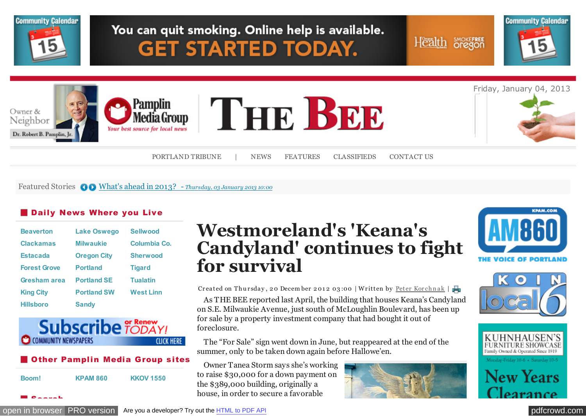

Featured Stories  $\bigcirc$  [What's ahead in 2013? -](http://portlandtribune.com/pt/9-news/125886-whats-ahead-in-2013?%20) *Thursday, 03 January 2013 10:00* 

## **Daily News Where you Live**

| <b>Beaverton</b>    | <b>Lake Oswego</b> | <b>Sellwood</b>  |
|---------------------|--------------------|------------------|
| <b>Clackamas</b>    | <b>Milwaukie</b>   | Columbia Co.     |
| <b>Estacada</b>     | <b>Oregon City</b> | <b>Sherwood</b>  |
| <b>Forest Grove</b> | <b>Portland</b>    | <b>Tigard</b>    |
| Gresham area        | <b>Portland SE</b> | <b>Tualatin</b>  |
| <b>King City</b>    | <b>Portland SW</b> | <b>West Linn</b> |
| <b>Hillsboro</b>    | <b>Sandy</b>       |                  |



#### **Other Pamplin Media Group sites**

| Boom! | <b>KPAM 860</b> | <b>KKOV 1550</b> |
|-------|-----------------|------------------|
|       |                 |                  |

Search

# **Westmoreland's 'Keana's Candyland' continues to fight for survival**

Createdon Thursday, 20 December 2012 03:00 | Written by Peter Korchnak |

As THE BEE reported last April, the building that houses Keana's Candyland on S.E. Milwaukie Avenue, just south of McLoughlin Boulevard, has been up for sale by a property investment company that had bought it out of foreclosure.

The "For Sale" sign went down in June, but reappeared at the end of the summer, only to be taken down again before Hallowe'en.

Owner Tanea Storm says she's working to raise \$30,000 for a down payment on the \$389,000 building, originally a house, in order to secure a favorable









ew Years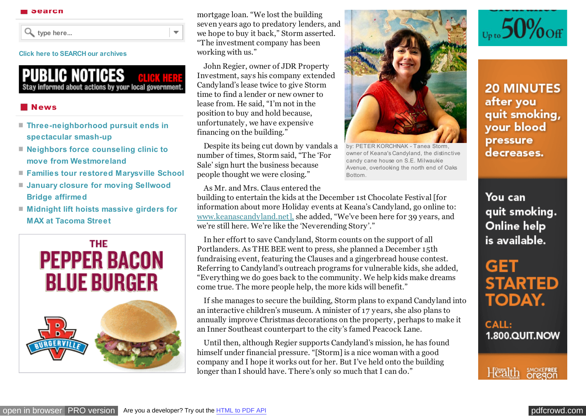**type here...**

#### **[Click here to SEARCH our archives](http://portlandtribune.com/portland-tribune-news/archives)**

**PUBLIC NOTICES** Stay informed about actions by your local government.

 $\overline{\mathbf{v}}$ 

### **News**

- **[Three-neighborhood pursuit ends in](http://portlandtribune.com/sb/74-news/125011-three-neighborhood-pursuit-ends-in-spectacular-smash-up-) spectacular smash-up**
- **[Neighbors force counseling clinic to](http://portlandtribune.com/sb/74-news/124998-neighbors-force-counseling-clinic-to-move-from-westmoreland-) move from Westmoreland**
- **[Families tour restored Marysville School](http://portlandtribune.com/sb/74-news/124999-families-tour-restored-marysville-school)**
- **[January closure for moving Sellwood](http://portlandtribune.com/sb/74-news/125000-january-closure-for-moving-sellwood-bridge-affirmed-) Bridge affirmed**
- **[Midnight lift hoists massive girders for](http://portlandtribune.com/sb/74-news/125002-midnight-lift-hoists-massive-girders-for-max-at-tacoma-street) MAX at Tacoma Street**



mortgage loan. "We lost the building seven years ago to predatory lenders, and we hope to buy it back," Storm asserted. "The investment company has been working with us."

John Regier, owner of JDR Property Investment, says his company extended Candyland's lease twice to give Storm time to find a lender or new owner to lease from. He said, "I'm not in the position to buy and hold because, unfortunately, we have expensive financing on the building."

Despite its being cut down by vandals a number of times, Storm said, "The 'For Sale' sign hurt the business because people thought we were closing."

As Mr. and Mrs. Claus entered the

building to entertain the kids at the December 1st Chocolate Festival [for information about more Holiday events at Keana's Candyland, go online to: [www.keanascandyland.net\],](http://www.keanascandyland.net]) she added, "We've been here for 39 years, and we're still here. We're like the 'Neverending Story'."

In her effort to save Candyland, Storm counts on the support of all Portlanders. As THE BEE went to press, she planned a December 15th fundraising event, featuring the Clauses and a gingerbread house contest. Referring to Candyland's outreach programs for vulnerable kids, she added, "Everything we do goes back to the community. We help kids make dreams come true. The more people help, the more kids will benefit."

If she manages to secure the building, Storm plans to expand Candyland into an interactive children's museum. A minister of 17 years, she also plans to annually improve Christmas decorations on the property, perhaps to make it an Inner Southeast counterpart to the city's famed Peacock Lane.

Until then, although Regier supports Candyland's mission, he has found himself under financial pressure. "[Storm] is a nice woman with a good company and I hope it works out for her. But I've held onto the building longer than I should have. There's only so much that I can do."



by: PETER KORCHNAK - Tanea Storm, owner of Keana's Candyland, the distinctive candy cane house on S.E. Milwaukie Avenue, overlooking the north end of Oaks Bottom.



**20 MINUTES** after you quit smoking, your blood pressure decreases.

You can quit smoking. Online help is available.

GET **STARTED TODAY.** 

**CALL:** 1.800.QUIT.NOW